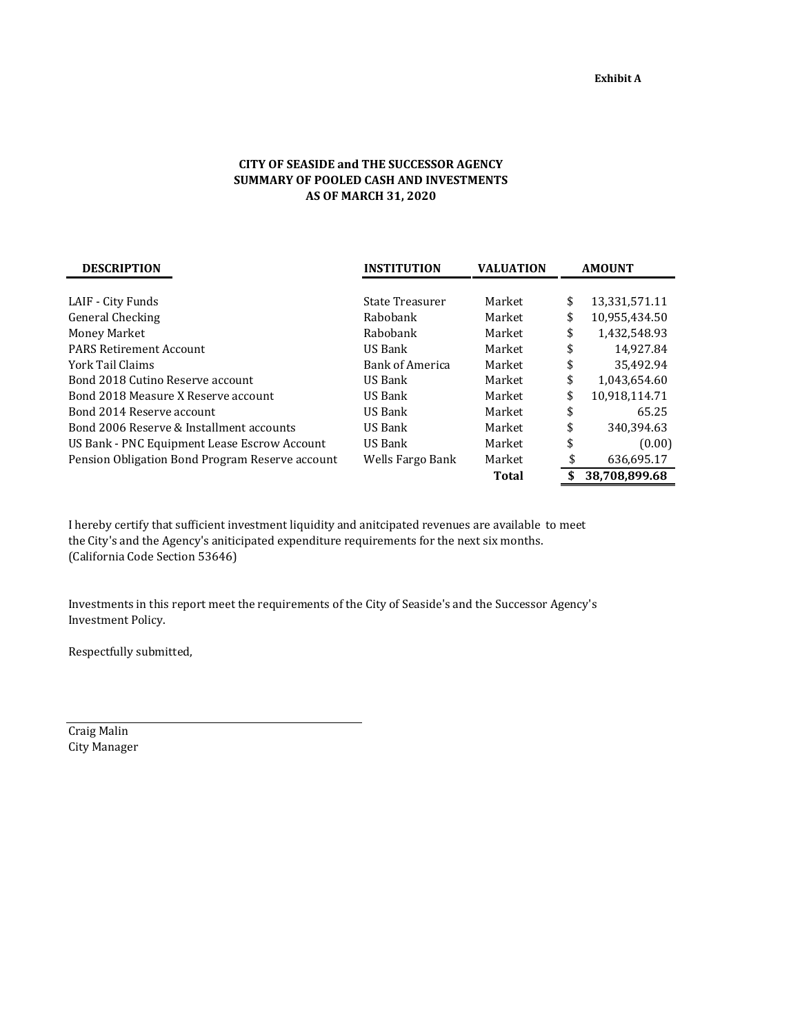## **CITY OF SEASIDE and THE SUCCESSOR AGENCY SUMMARY OF POOLED CASH AND INVESTMENTS AS OF MARCH 31, 2020**

| <b>DESCRIPTION</b>                              | <b>INSTITUTION</b>     | <b>VALUATION</b> | <b>AMOUNT</b>       |  |  |
|-------------------------------------------------|------------------------|------------------|---------------------|--|--|
|                                                 |                        |                  |                     |  |  |
| LAIF - City Funds                               | State Treasurer        | Market           | \$<br>13,331,571.11 |  |  |
| General Checking                                | Rabobank               | Market           | \$<br>10,955,434.50 |  |  |
| Money Market                                    | Rabobank               | Market           | \$<br>1.432.548.93  |  |  |
| <b>PARS Retirement Account</b>                  | US Bank                | Market           | \$<br>14,927.84     |  |  |
| York Tail Claims                                | <b>Bank of America</b> | Market           | \$<br>35,492.94     |  |  |
| Bond 2018 Cutino Reserve account                | US Bank                | Market           | \$<br>1.043.654.60  |  |  |
| Bond 2018 Measure X Reserve account             | US Bank                | Market           | \$<br>10,918,114.71 |  |  |
| Bond 2014 Reserve account                       | US Bank                | Market           | \$<br>65.25         |  |  |
| Bond 2006 Reserve & Installment accounts        | US Bank                | Market           | \$<br>340,394.63    |  |  |
| US Bank - PNC Equipment Lease Escrow Account    | US Bank                | Market           | \$<br>(0.00)        |  |  |
| Pension Obligation Bond Program Reserve account | Wells Fargo Bank       | Market           | \$<br>636,695.17    |  |  |
|                                                 |                        | Total            | \$<br>38.708.899.68 |  |  |

I hereby certify that sufficient investment liquidity and anitcipated revenues are available to meet the City's and the Agency's aniticipated expenditure requirements for the next six months. (California Code Section 53646)

Investments in this report meet the requirements of the City of Seaside's and the Successor Agency's Investment Policy.

Respectfully submitted,

Craig Malin City Manager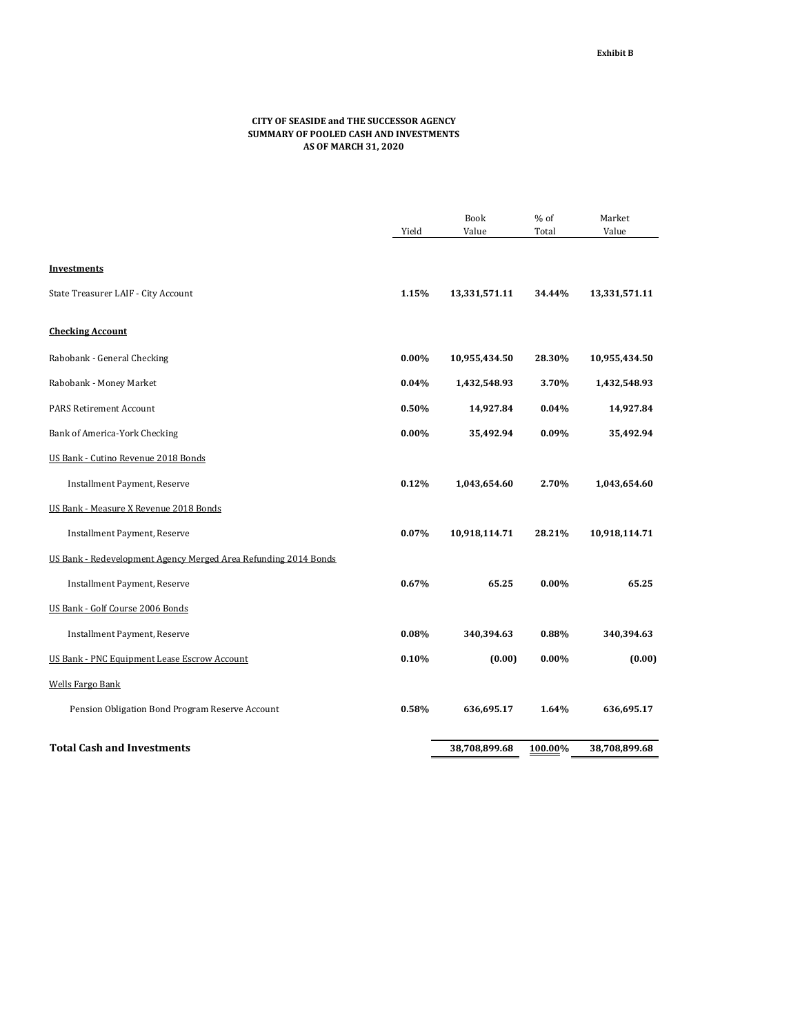## **CITY OF SEASIDE and THE SUCCESSOR AGENCY SUMMARY OF POOLED CASH AND INVESTMENTS AS OF MARCH 31, 2020**

|                                                                 |          | <b>Book</b>   | % of     | Market        |
|-----------------------------------------------------------------|----------|---------------|----------|---------------|
|                                                                 | Yield    | Value         | Total    | Value         |
|                                                                 |          |               |          |               |
| Investments                                                     |          |               |          |               |
| State Treasurer LAIF - City Account                             | 1.15%    | 13,331,571.11 | 34.44%   | 13,331,571.11 |
| <b>Checking Account</b>                                         |          |               |          |               |
| Rabobank - General Checking                                     | $0.00\%$ | 10,955,434.50 | 28.30%   | 10,955,434.50 |
| Rabobank - Money Market                                         | 0.04%    | 1,432,548.93  | 3.70%    | 1,432,548.93  |
| <b>PARS Retirement Account</b>                                  | 0.50%    | 14,927.84     | 0.04%    | 14,927.84     |
| Bank of America-York Checking                                   | $0.00\%$ | 35,492.94     | 0.09%    | 35,492.94     |
| US Bank - Cutino Revenue 2018 Bonds                             |          |               |          |               |
| Installment Payment, Reserve                                    | 0.12%    | 1,043,654.60  | 2.70%    | 1,043,654.60  |
| US Bank - Measure X Revenue 2018 Bonds                          |          |               |          |               |
| Installment Payment, Reserve                                    | 0.07%    | 10,918,114.71 | 28.21%   | 10,918,114.71 |
| US Bank - Redevelopment Agency Merged Area Refunding 2014 Bonds |          |               |          |               |
| Installment Payment, Reserve                                    | 0.67%    | 65.25         | $0.00\%$ | 65.25         |
| US Bank - Golf Course 2006 Bonds                                |          |               |          |               |
| Installment Payment, Reserve                                    | 0.08%    | 340,394.63    | 0.88%    | 340,394.63    |
| US Bank - PNC Equipment Lease Escrow Account                    | 0.10%    | (0.00)        | 0.00%    | (0.00)        |
| <b>Wells Fargo Bank</b>                                         |          |               |          |               |
| Pension Obligation Bond Program Reserve Account                 | 0.58%    | 636,695.17    | 1.64%    | 636,695.17    |
| <b>Total Cash and Investments</b>                               |          | 38,708,899.68 | 100.00%  | 38,708,899.68 |
|                                                                 |          |               |          |               |